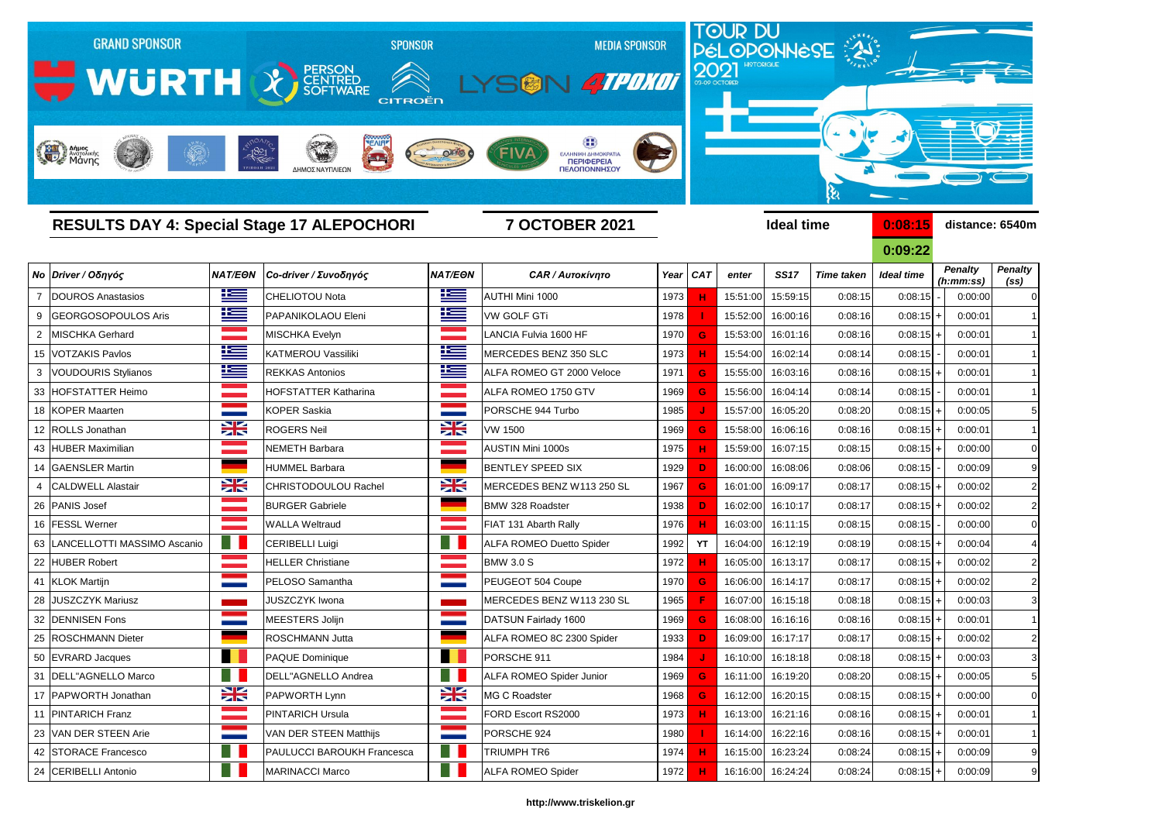

|    |                                |                   |                                   |                            |                                 |      |            |          |                   |                   | U.UJ.LL           |                             |                                     |
|----|--------------------------------|-------------------|-----------------------------------|----------------------------|---------------------------------|------|------------|----------|-------------------|-------------------|-------------------|-----------------------------|-------------------------------------|
|    | No Driver / Οδηγός             | <b>NAT/EON</b>    | Co-driver / Συνοδηγός             | <b>NAT/EON</b>             | <b>CAR / Αυτοκίνητο</b>         | Year | <b>CAT</b> | enter    | <b>SS17</b>       | <b>Time taken</b> | <b>Ideal time</b> | <b>Penalty</b><br>(h:mm:ss) | <b>Penalty</b><br>(s <sub>s</sub> ) |
|    | <b>DOUROS Anastasios</b>       | 上三                | <b>CHELIOTOU Nota</b>             | <u>ik –</u>                | AUTHI Mini 1000                 | 1973 | н          | 15:51:00 | 15:59:15          | 0:08:15           | 0:08:15           | 0:00:00                     | $\mathsf{C}$                        |
|    | GEORGOSOPOULOS Aris            | ٢                 | PAPANIKOLAOU Eleni                | 连                          | <b>VW GOLF GTi</b>              | 1978 |            | 15:52:00 | 16:00:16          | 0:08:16           | $0:08:15$ +       | 0:00:01                     |                                     |
|    | MISCHKA Gerhard                |                   | <b>MISCHKA Evelyn</b>             | a sa Tanzania.<br>Tanzania | LANCIA Fulvia 1600 HF           | 1970 | G          | 15:53:00 | 16:01:16          | 0:08:16           | $0:08:15$ +       | 0:00:01                     |                                     |
|    | 15 VOTZAKIS Pavlos             | E                 | <b>KATMEROU Vassiliki</b>         | <u>is </u>                 | MERCEDES BENZ 350 SLC           | 1973 | н          | 15:54:00 | 16:02:14          | 0:08:14           | 0:08:15           | 0:00:01                     |                                     |
|    | <b>VOUDOURIS Stylianos</b>     | ٢                 | <b>REKKAS Antonios</b>            | 些                          | ALFA ROMEO GT 2000 Veloce       | 1971 | G          | 15:55:00 | 16:03:16          | 0:08:16           | $0:08:15$ +       | 0:00:01                     |                                     |
|    | 33 HOFSTATTER Heimo            |                   | <b>HOFSTATTER Katharina</b>       |                            | ALFA ROMEO 1750 GTV             | 1969 | G          | 15:56:00 | 16:04:14          | 0:08:14           | 0:08:15           | 0:00:01                     |                                     |
|    | 18 KOPER Maarten               |                   | <b>KOPER Saskia</b>               | <b>STATISTICS</b>          | PORSCHE 944 Turbo               | 1985 |            | 15:57:00 | 16:05:20          | 0:08:20           | $0:08:15$ +       | 0:00:05                     |                                     |
|    | 12 ROLLS Jonathan              | X                 | <b>ROGERS Neil</b>                | X                          | <b>VW 1500</b>                  | 1969 | G          | 15:58:00 | 16:06:16          | 0:08:16           | $0:08:15$ +       | 0:00:01                     |                                     |
|    | 43 HUBER Maximilian            |                   | <b>NEMETH Barbara</b>             |                            | AUSTIN Mini 1000s               | 1975 |            | 15:59:00 | 16:07:15          | 0:08:15           | $0:08:15$ +       | 0:00:00                     |                                     |
|    | 14 GAENSLER Martin             |                   | <b>HUMMEL Barbara</b>             |                            | <b>BENTLEY SPEED SIX</b>        | 1929 | D          | 16:00:00 | 16:08:06          | 0:08:06           | 0:08:15           | 0:00:09                     |                                     |
|    | <b>CALDWELL Alastair</b>       | X                 | <b>CHRISTODOULOU Rachel</b>       | X                          | MERCEDES BENZ W113 250 SL       | 1967 | G          | 16:01:00 | 16:09:17          | 0:08:17           | $0:08:15$ +       | 0:00:02                     |                                     |
|    | 26 PANIS Josef                 |                   | <b>BURGER Gabriele</b>            |                            | <b>BMW 328 Roadster</b>         | 1938 | D          | 16:02:00 | 16:10:17          | 0:08:17           | $0:08:15$ +       | 0:00:02                     |                                     |
|    | 16 <b>FESSL</b> Werner         |                   | <b>WALLA Weltraud</b>             |                            | FIAT 131 Abarth Rally           | 1976 |            | 16:03:00 | 16:11:15          | 0:08:15           | 0:08:15           | 0:00:00                     |                                     |
|    | 63 LANCELLOTTI MASSIMO Ascanio |                   | <b>CERIBELLI Luigi</b>            |                            | <b>ALFA ROMEO Duetto Spider</b> | 1992 | YT         | 16:04:00 | 16:12:19          | 0:08:19           | $0:08:15$ +       | 0:00:04                     |                                     |
|    | 22 HUBER Robert                |                   | <b>HELLER Christiane</b>          |                            | <b>BMW 3.0 S</b>                | 1972 |            | 16:05:00 | 16:13:17          | 0:08:17           | $0:08:15$ +       | 0:00:02                     | 2                                   |
|    | 41 KLOK Martijn                |                   | PELOSO Samantha                   |                            | PEUGEOT 504 Coupe               | 1970 | G          | 16:06:00 | 16:14:17          | 0:08:17           | $0:08:15$ +       | 0:00:02                     |                                     |
|    | 28 JUSZCZYK Mariusz            |                   | <b>JUSZCZYK Iwona</b>             |                            | MERCEDES BENZ W113 230 SL       | 1965 |            | 16:07:00 | 16:15:18          | 0:08:18           | $0:08:15$ +       | 0:00:03                     |                                     |
| 32 | <b>DENNISEN Fons</b>           |                   | MEESTERS Jolijn                   |                            | DATSUN Fairlady 1600            | 1969 | G          | 16:08:00 | 16:16:16          | 0:08:16           | $0:08:15$ +       | 0:00:01                     |                                     |
|    | 25 ROSCHMANN Dieter            |                   | <b>ROSCHMANN Jutta</b>            |                            | ALFA ROMEO 8C 2300 Spider       | 1933 | D          | 16:09:00 | 16:17:17          | 0:08:17           | $0:08:15$ +       | 0:00:02                     |                                     |
|    | 50 EVRARD Jacques              |                   | PAQUE Dominique                   |                            | PORSCHE 911                     | 1984 |            | 16:10:00 | 16:18:18          | 0:08:18           | $0:08:15$ +       | 0:00:03                     |                                     |
|    | 31   DELL"AGNELLO Marco        |                   | <b>DELL"AGNELLO Andrea</b>        |                            | ALFA ROMEO Spider Junior        | 1969 | G          | 16:11:00 | 16:19:20          | 0:08:20           | $0:08:15$ +       | 0:00:05                     |                                     |
|    | 17   PAPWORTH Jonathan         | E                 | <b>PAPWORTH Lynn</b>              | Ж                          | MG C Roadster                   | 1968 | G          |          | 16:12:00 16:20:15 | 0:08:15           | $0:08:15$ +       | 0:00:00                     | C                                   |
|    | 11 PINTARICH Franz             | a provincia       | <b>PINTARICH Ursula</b>           | a a shekara                | FORD Escort RS2000              | 1973 | н          | 16:13:00 | 16:21:16          | 0:08:16           | $0:08:15$ +       | 0:00:01                     |                                     |
|    | 23 VAN DER STEEN Arie          | <b>STATISTICS</b> | <b>VAN DER STEEN Matthijs</b>     | <b>Contract Contract</b>   | PORSCHE 924                     | 1980 |            | 16:14:00 | 16:22:16          | 0:08:16           | $0:08:15$ +       | 0:00:01                     | -1                                  |
|    | 42 STORACE Francesco           | HI I              | <b>PAULUCCI BAROUKH Francesca</b> | Ħ                          | TRIUMPH TR6                     | 1974 | н          | 16:15:00 | 16:23:24          | 0:08:24           | $0:08:15$ +       | 0:00:09                     | $\epsilon$                          |
|    | 24 CERIBELLI Antonio           |                   | MARINACCI Marco                   |                            | <b>ALFA ROMEO Spider</b>        | 1972 | н          |          | 16:16:00 16:24:24 | 0:08:24           | $0:08:15$ +       | 0:00:09                     | ç                                   |

**0:09:22** *Penalty (ss) Penalty (h:mm:ss)*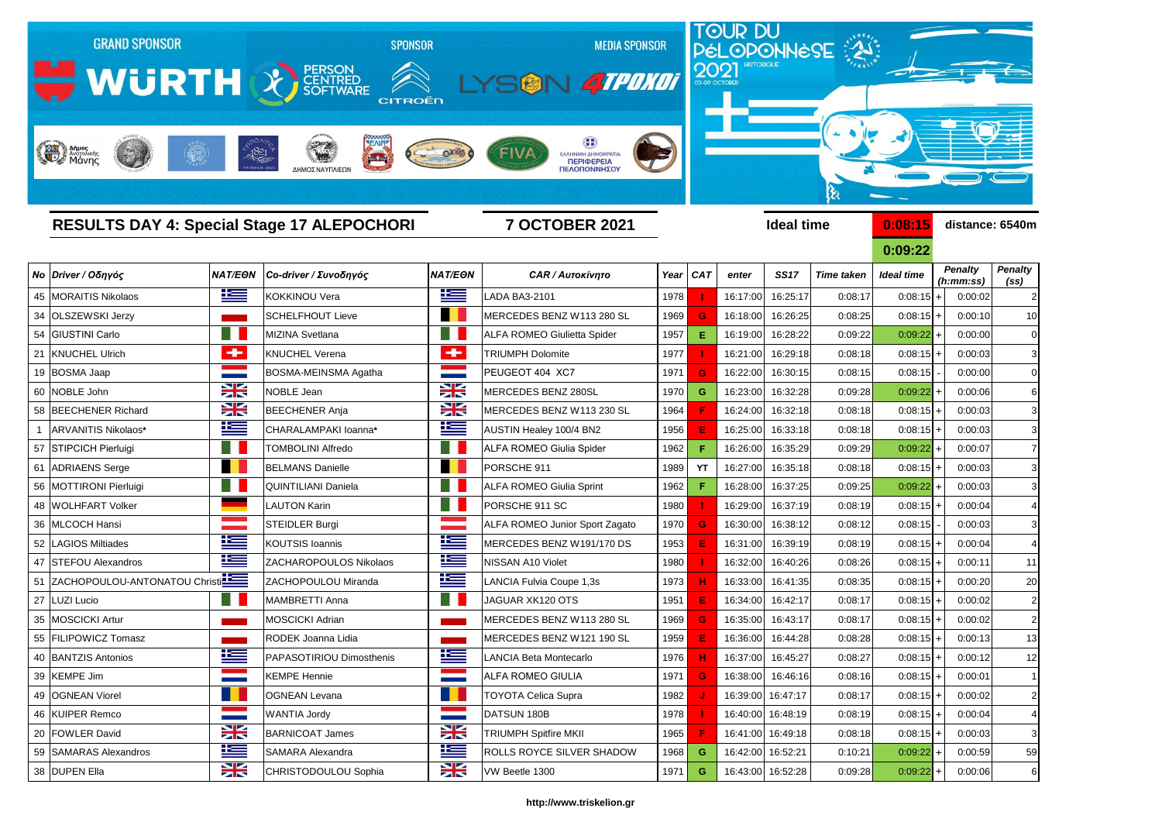

## *Νο Driver / Οδηγός NAT/EΘΝ Co-driver / Συνοδηγός NAT/EΘΝ CAR / Αυτοκίνητο Year CAT enter SS17 Time taken Ideal time* 45 MORAITIS Nikolaos KOKKINOU Vera LADA BA3-2101 1978  **I**  16:17:00 16:25:17 0:08:17 0:08:15 + 0:00:02 2 34 OLSZEWSKI Jerzy **Schelfhout Lieve MERCEDES BENZ W113 280 SL** 1969 **G** 16:18:00 16:26:25 0:08:25 54 GIUSTINI Carlo MIZINA Svetlana ALFA ROMEO Giulietta Spider 1957 **E** 16:19:00 16:28:22 0:09:22 21 KNUCHEL Ulrich KNUCHEL Verena TRIUMPH Dolomite 1977  **I**  16:21:00 16:29:18 0:08:18 0:08:15 + 0:00:03 3 19 BOSMA Jaap BOSMA-MEINSMA Agatha PEUGEOT 404 XC7 1971 <mark> G </mark> 16:22:00 16:30:15 0:08:15 0:08:15 0:08:15 0:00:00 0 60 NOBLE John NOBLE Jean MERCEDES BENZ 280SL 1970 **G** 16:23:00 16:32:28 0:09:28 0:09:22 + 0:00:06 6 58 BEECHENER Richard **BEECHENER Anja** BEECHENER Anja MERCEDES BENZ W113 230 SL 1964 **F** 16:24:00 16:32:18 0:08:18 1 ARVANITIS Nikolaos\* **CHARALAMPAKI Ioanna**\* **AUSTIN Healey 100/4 BN2** 1956 **E** 16:25:00 16:33:18 19:08:18 57 STIPCICH Pierluigi TOMBOLINI Alfredo ALFA ROMEO Giulia Spider 1962  **F**  16:26:00 16:35:29 0:09:29 0:09:22 + 0:00:07 7 61 ADRIAENS Serge BELMANS Danielle PORSCHE 911 1989 |YT |16:27:00 16:35:18 0:08:18 0:08:15 + 0:00:03 3 56 |MOTTIRONI Pierluigi | L |QUINTILIANI Daniela | L |ALFA ROMEO Giulia Sprint | 1962 | F | 16:28:00 | 16:37:25 0:09:25 0:09:22 + | 0:00:03 3 48 WOLHFART Volker LAUTON Karin PORSCHE 911 SC 1980  **I**  16:29:00 16:37:19 0:08:19 0:08:15 + 0:00:04 4 36 |MLCOCH Hansi **STEIDLER Burgi ALFA ROMEO Junior Sport Zagato** | 1970 **G** 16:30:00 | 16:38:12 0:08:12 52 LAGIOS Miltiades **KOUTSIS Ioannis** MERCEDES BENZ W191/170 DS 1953 **E** 16:31:00 16:39:19 0:08:19 47 STEFOU Alexandros **NEWS ALCHAROPOULOS Nikolaos** NEWSAN A10 Violet 1980 **| 1980 | 10:32:00 16:40:26** 0:08:26 51 ZACHOPOULOU-ANTONATOU Christi**na Enterpreneu LANCIA Electropoulou Miranda** Antiena LANCIA Fulvia Coupe 1,3s **1973 | H** 16:33:00 16:41:35 0:08:35 27 LUZI Lucio MAMBRETTI Anna JAGUAR XK120 OTS 1951 **E** 16:34:00 16:42:17 0:08:17 0:08:15 + 0:00:02 2 35 MOSCICKI Artur MOSCICKI Adrian MOSCICKI Adrian MERCEDES BENZ W113 280 SL 1969 **G** 16:35:00 16:43:17 + 0:08:17 55 FILIPOWICZ Tomasz RODEK Joanna Lidia MERCEDES BENZ W121 190 SL 1959 16:36:00 16:44:28 0:08:28 40 BANTZIS Antonios **PARASOTIRIOU Dimosthenis LANCIA Beta Montecarlo LANCIA Beta Montecarlo LANCIA Beta Montecarlo** 39 KEMPE Jim KEMPE Hennie 1971 <mark> G </mark> 16:38:00 16:46:16 0:08:16 0:08:15 + 0:00:01 1 49 OGNEAN Viorel OGNEAN Levana TOYOTA Celica Supra 1982  **J**  16:39:00 16:47:17 0:08:17 0:08:15 + 0:00:02 2 46 KUIPER Remco WANTIA Jordy DATSUN 180B 1978  **I**  16:40:00 16:48:19 0:08:19 0:08:15 + 0:00:04 4 20 FOWLER David BARNICOAT James TRIUMPH Spitfire MKII 1965 <mark> F </mark> 16:41:00 16:49:18 0:08:18 0:08:15 + 0:00:03 3 59 SAMARAS Alexandros SAMARA Alexandra SAMARA Alexandra **SAMARA Alexandra** ROLLS ROYCE SILVER SHADOW 1968 **G** 16:42:00 16:52:21 0:10:21 38 DUPEN Ella **CHRISTODOULOU Sophia** VW Beetle 1300 1971 **G** 16:43:00 16:52:28 0:09:28

| 0:08:15           |                | distance: 6540m             |                                     |
|-------------------|----------------|-----------------------------|-------------------------------------|
| 0:09:22           |                |                             |                                     |
| <b>Ideal time</b> |                | <b>Penalty</b><br>(h:mm:ss) | <b>Penalty</b><br>(s <sub>s</sub> ) |
| 0:08:15           | $\ddot{}$      | 0:00:02                     | 2                                   |
| 0:08:15           | ÷.             | 0:00:10                     | 1 <sub>C</sub>                      |
| 0:09:22           | $\ddot{}$      | 0:00:00                     | C                                   |
| 0:08:15           | $\ddot{}$      | 0:00:03                     | G                                   |
| 0:08:15           | $\blacksquare$ | 0:00:00                     | C                                   |
| 0:09:22           | $\ddot{}$      | 0:00:06                     | б                                   |
| 0:08:15           | $\ddot{}$      | 0:00:03                     | G                                   |
| 0:08:15           | ÷.             | 0:00:03                     | G                                   |
| 0:09:22           | $\ddot{}$      | 0:00:07                     | $\overline{I}$                      |
| 0:08:15           | ÷              | 0:00:03                     | G                                   |
| 0:09:22           | $\ddot{}$      | 0:00:03                     | G                                   |
| 0:08:15           | $\ddot{}$      | 0:00:04                     | 4                                   |
| 0:08:15           | $\frac{1}{2}$  | 0:00:03                     | G                                   |
| 0:08:15           | $\ddot{}$      | 0:00:04                     | 4                                   |
| 0:08:15           | $\ddot{}$      | 0:00:11                     | 11                                  |
| 0:08:15           | ÷.             | 0:00:20                     | 20                                  |
| 0:08:15           | $\ddot{}$      | 0:00:02                     | 2                                   |
| 0:08:15           | $\ddot{}$      | 0:00:02                     | 2                                   |
| 0:08:15           | $\ddot{}$      | 0:00:13                     | 13                                  |
| 0:08:15           |                | 0:00:12                     | 12                                  |
| 0:08:15           | $\ddagger$     | 0:00:01                     | 1                                   |
| 0:08:15           | +              | 0:00:02                     | 2                                   |
| 0:08:15           | $\ddag$        | 0:00:04                     | 4                                   |
| 0:08:15           | $\ddot{}$      | 0:00:03                     | G                                   |
| 0:09:22           | $\ddot{}$      | 0:00:59                     | 59                                  |
| $0:09:22$ +       |                | 0:00:06                     | $\epsilon$                          |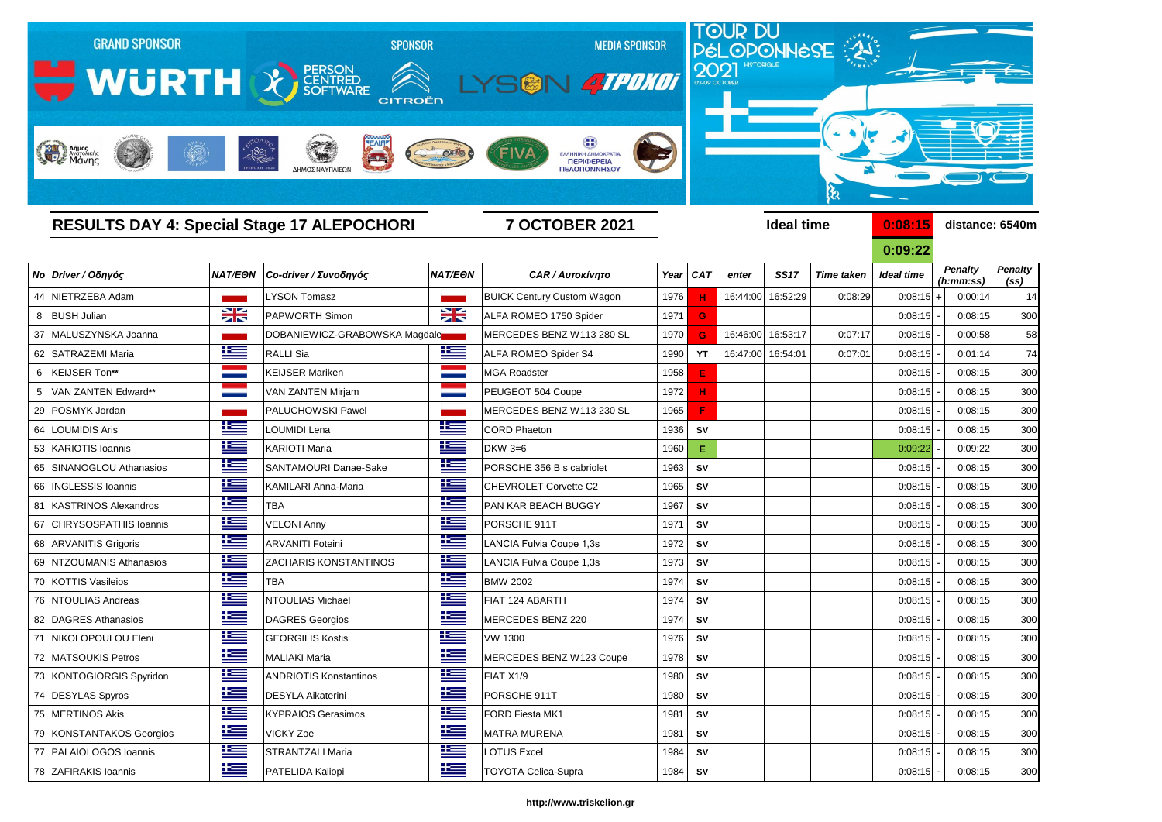

**0:09:22** *Penalty (ss) Penalty (h:mm:ss)*

|                          |                |                               |                |                                   |      |            |       |                   |                   | UIUJIZZ           |                             |                                     |
|--------------------------|----------------|-------------------------------|----------------|-----------------------------------|------|------------|-------|-------------------|-------------------|-------------------|-----------------------------|-------------------------------------|
| Νο Driver / Οδηγός       | <b>NAT/EON</b> | Co-driver / Συνοδηγός         | <b>NAT/EON</b> | <b>CAR / Αυτοκίνητο</b>           | Year | <b>CAT</b> | enter | <b>SS17</b>       | <b>Time taken</b> | <b>Ideal time</b> | <b>Penalty</b><br>(h:mm:ss) | <b>Penalty</b><br>(s <sub>s</sub> ) |
| 44 NIETRZEBA Adam        |                | <b>LYSON Tomasz</b>           |                | <b>BUICK Century Custom Wagon</b> | 1976 | н          |       | 16:44:00 16:52:29 | 0:08:29           | $0:08:15$ +       | 0:00:14                     | 14                                  |
| 8 BUSH Julian            | $\frac{1}{2}$  | <b>PAPWORTH Simon</b>         | $\frac{1}{2}$  | ALFA ROMEO 1750 Spider            | 1971 | G          |       |                   |                   | 0:08:15           | 0:08:15                     | 300                                 |
| 37 MALUSZYNSKA Joanna    |                | DOBANIEWICZ-GRABOWSKA Magdale |                | MERCEDES BENZ W113 280 SL         | 1970 | G          |       | 16:46:00 16:53:17 | 0:07:17           | 0:08:15           | 0:00:58                     | 58                                  |
| 62 SATRAZEMI Maria       | 些              | RALLI Sia                     | 当              | ALFA ROMEO Spider S4              | 1990 | <b>YT</b>  |       | 16:47:00 16:54:01 | 0:07:01           | 0:08:15           | 0:01:14                     | 74                                  |
| 6   KEIJSER Ton**        |                | <b>KEIJSER Mariken</b>        |                | <b>JGA Roadster</b>               | 1958 | E          |       |                   |                   | 0:08:15           | 0:08:15                     | 300                                 |
| 5   VAN ZANTEN Edward**  |                | <b>VAN ZANTEN Mirjam</b>      | <b>STATE</b>   | PEUGEOT 504 Coupe                 | 1972 | н          |       |                   |                   | 0:08:15           | 0:08:15                     | 300                                 |
| 29 POSMYK Jordan         |                | <b>PALUCHOWSKI Pawel</b>      |                | MERCEDES BENZ W113 230 SL         | 1965 | F          |       |                   |                   | 0:08:15           | 0:08:15                     | 30 <sub>C</sub>                     |
| 64 LOUMIDIS Aris         | <u>resp</u>    | LOUMIDI Lena                  | <u>resp</u>    | <b>CORD Phaeton</b>               | 1936 | <b>SV</b>  |       |                   |                   | 0:08:15           | 0:08:15                     | <b>300</b>                          |
| 53 KARIOTIS Ioannis      | <u>is –</u>    | <b>KARIOTI Maria</b>          | <u>k </u>      | <b>DKW 3=6</b>                    | 1960 | E          |       |                   |                   | 0:09:22           | 0:09:22                     | 300                                 |
| 65 SINANOGLOU Athanasios | <u>K </u>      | SANTAMOURI Danae-Sake         | $\pm$          | PORSCHE 356 B s cabriolet         | 1963 | <b>SV</b>  |       |                   |                   | 0:08:15           | 0:08:15                     | <b>300</b>                          |
| 66 INGLESSIS Ioannis     | <u> اکتا</u>   | <b>KAMILARI Anna-Maria</b>    | <u>is </u>     | <b>CHEVROLET Corvette C2</b>      | 1965 | <b>SV</b>  |       |                   |                   | 0:08:15           | 0:08:15                     | 300                                 |
| 81 KASTRINOS Alexandros  | <u>k </u>      | <b>TBA</b>                    | <u>k –</u>     | PAN KAR BEACH BUGGY               | 1967 | <b>SV</b>  |       |                   |                   | 0:08:15           | 0:08:15                     | <b>300</b>                          |
| 67 CHRYSOSPATHIS Ioannis |                | <b>VELONI Anny</b>            | 些              | PORSCHE 911T                      | 1971 | <b>SV</b>  |       |                   |                   | 0:08:15           | 0:08:15                     | 300                                 |
| 68 ARVANITIS Grigoris    | <u>resp</u>    | <b>ARVANITI Foteini</b>       | <u>is </u>     | LANCIA Fulvia Coupe 1,3s          | 1972 | <b>SV</b>  |       |                   |                   | 0:08:15           | 0:08:15                     | <b>300</b>                          |
| 69 NTZOUMANIS Athanasios | <u>iks </u>    | <b>ZACHARIS KONSTANTINOS</b>  | <u>is </u>     | LANCIA Fulvia Coupe 1,3s          | 1973 | <b>SV</b>  |       |                   |                   | 0:08:15           | 0:08:15                     | 300                                 |
| 70 KOTTIS Vasileios      | <u>ik –</u>    | <b>TBA</b>                    | $\mathbf{E}$   | <b>BMW 2002</b>                   | 1974 | <b>SV</b>  |       |                   |                   | 0:08:15           | 0:08:15                     | 300                                 |
| 76 NTOULIAS Andreas      | <u>k </u>      | <b>NTOULIAS Michael</b>       | 些              | FIAT 124 ABARTH                   | 1974 | <b>SV</b>  |       |                   |                   | 0:08:15           | 0:08:15                     | 300                                 |
| 82   DAGRES Athanasios   | 些              | DAGRES Georgios               | 些              | MERCEDES BENZ 220                 | 1974 | <b>SV</b>  |       |                   |                   | 0:08:15           | 0:08:15                     | <b>300</b>                          |
| 71 NIKOLOPOULOU Eleni    | 些              | <b>GEORGILIS Kostis</b>       | 些              | <b>VW 1300</b>                    | 1976 | <b>SV</b>  |       |                   |                   | 0:08:15           | 0:08:15                     | 300                                 |
| 72 MATSOUKIS Petros      | <u>resp</u>    | <b>MALIAKI Maria</b>          | <u>k </u>      | MERCEDES BENZ W123 Coupe          | 1978 | <b>SV</b>  |       |                   |                   | 0:08:15           | 0:08:15                     | <b>300</b>                          |
| 73 KONTOGIORGIS Spyridon | 华兰             | <b>ANDRIOTIS Konstantinos</b> | 些              | FIAT X1/9                         | 1980 | <b>SV</b>  |       |                   |                   | 0:08:15           | 0:08:15                     | 300                                 |
| 74 DESYLAS Spyros        | <u>i i —</u>   | <b>DESYLA Aikaterini</b>      | $\equiv$       | PORSCHE 911T                      | 1980 | <b>SV</b>  |       |                   |                   | $0:08:15$ -       | 0:08:15                     | 300                                 |
| 75 MERTINOS Akis         | <u>is –</u>    | <b>KYPRAIOS Gerasimos</b>     | <u>is </u>     | FORD Fiesta MK1                   | 1981 | SV         |       |                   |                   | 0:08:15           | 0:08:15                     | 30 <sub>C</sub>                     |
| 79 KONSTANTAKOS Georgios | ٢m             | <b>VICKY Zoe</b>              | <u>is </u>     | <b>MATRA MURENA</b>               | 1981 | SV         |       |                   |                   | 0:08:15           | 0:08:15                     | 30 <sub>C</sub>                     |
| 77   PALAIOLOGOS Ioannis | <u> 12 = </u>  | <b>STRANTZALI Maria</b>       | <u>is </u>     | <b>OTUS Excel</b>                 | 1984 | ${\sf SV}$ |       |                   |                   | 0:08:15           | 0:08:15                     | 300                                 |
| 78 ZAFIRAKIS Ioannis     | <u>is a</u>    | <b>PATELIDA Kaliopi</b>       | <u>ik a</u>    | <b>TOYOTA Celica-Supra</b>        | 1984 | SV         |       |                   |                   | $0:08:15$ -       | 0:08:15                     | 30 <sub>C</sub>                     |